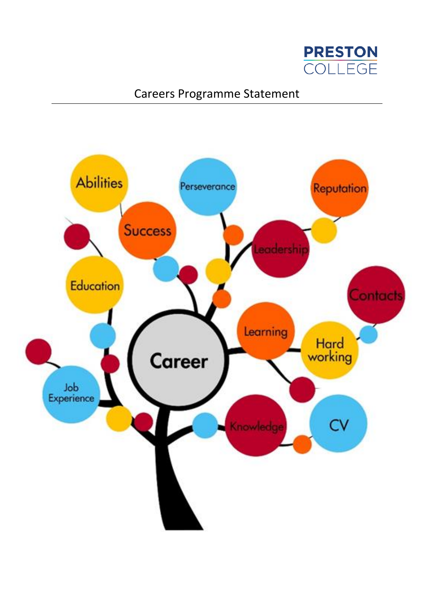

# Careers Programme Statement

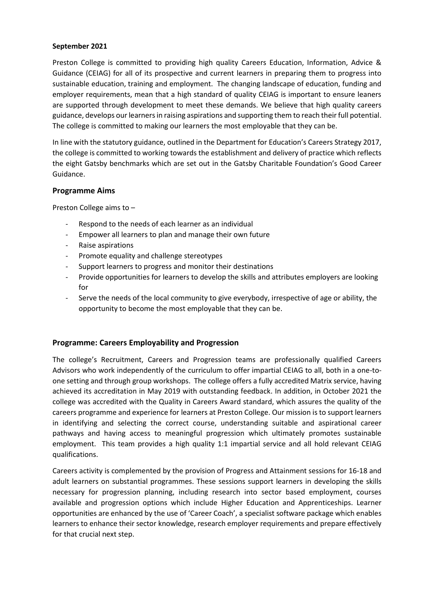## **September 2021**

Preston College is committed to providing high quality Careers Education, Information, Advice & Guidance (CEIAG) for all of its prospective and current learners in preparing them to progress into sustainable education, training and employment. The changing landscape of education, funding and employer requirements, mean that a high standard of quality CEIAG is important to ensure leaners are supported through development to meet these demands. We believe that high quality careers guidance, develops our learners in raising aspirations and supporting them to reach their full potential. The college is committed to making our learners the most employable that they can be.

In line with the statutory guidance, outlined in the Department for Education's Careers Strategy 2017, the college is committed to working towards the establishment and delivery of practice which reflects the eight Gatsby benchmarks which are set out in the Gatsby Charitable Foundation's Good Career Guidance.

## **Programme Aims**

Preston College aims to –

- Respond to the needs of each learner as an individual
- Empower all learners to plan and manage their own future
- Raise aspirations
- Promote equality and challenge stereotypes
- Support learners to progress and monitor their destinations
- Provide opportunities for learners to develop the skills and attributes employers are looking for
- Serve the needs of the local community to give everybody, irrespective of age or ability, the opportunity to become the most employable that they can be.

# **Programme: Careers Employability and Progression**

The college's Recruitment, Careers and Progression teams are professionally qualified Careers Advisors who work independently of the curriculum to offer impartial CEIAG to all, both in a one-toone setting and through group workshops. The college offers a fully accredited Matrix service, having achieved its accreditation in May 2019 with outstanding feedback. In addition, in October 2021 the college was accredited with the Quality in Careers Award standard, which assures the quality of the careers programme and experience for learners at Preston College. Our mission is to support learners in identifying and selecting the correct course, understanding suitable and aspirational career pathways and having access to meaningful progression which ultimately promotes sustainable employment. This team provides a high quality 1:1 impartial service and all hold relevant CEIAG qualifications.

Careers activity is complemented by the provision of Progress and Attainment sessions for 16-18 and adult learners on substantial programmes. These sessions support learners in developing the skills necessary for progression planning, including research into sector based employment, courses available and progression options which include Higher Education and Apprenticeships. Learner opportunities are enhanced by the use of 'Career Coach', a specialist software package which enables learners to enhance their sector knowledge, research employer requirements and prepare effectively for that crucial next step.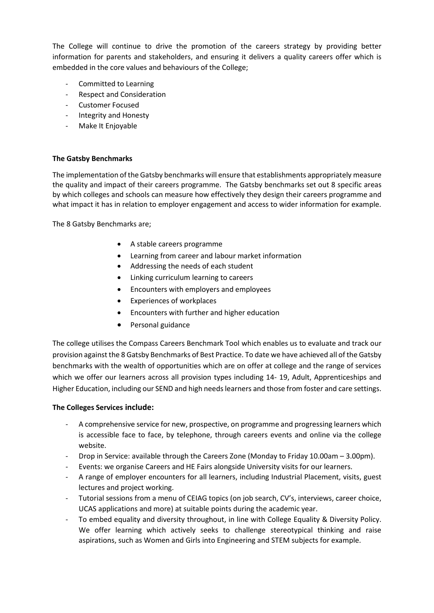The College will continue to drive the promotion of the careers strategy by providing better information for parents and stakeholders, and ensuring it delivers a quality careers offer which is embedded in the core values and behaviours of the College;

- Committed to Learning
- Respect and Consideration
- Customer Focused
- Integrity and Honesty
- Make It Enjoyable

## **The Gatsby Benchmarks**

The implementation of the Gatsby benchmarks will ensure that establishments appropriately measure the quality and impact of their careers programme. The Gatsby benchmarks set out 8 specific areas by which colleges and schools can measure how effectively they design their careers programme and what impact it has in relation to employer engagement and access to wider information for example.

The 8 Gatsby Benchmarks are;

- A stable careers programme
- Learning from career and labour market information
- Addressing the needs of each student
- Linking curriculum learning to careers
- Encounters with employers and employees
- Experiences of workplaces
- Encounters with further and higher education
- Personal guidance

The college utilises the Compass Careers Benchmark Tool which enables us to evaluate and track our provision against the 8 Gatsby Benchmarks of Best Practice. To date we have achieved all of the Gatsby benchmarks with the wealth of opportunities which are on offer at college and the range of services which we offer our learners across all provision types including 14- 19, Adult, Apprenticeships and Higher Education, including our SEND and high needs learners and those from foster and care settings.

#### **The Colleges Services include:**

- A comprehensive service for new, prospective, on programme and progressing learners which is accessible face to face, by telephone, through careers events and online via the college website.
- Drop in Service: available through the Careers Zone (Monday to Friday 10.00am 3.00pm).
- Events: we organise Careers and HE Fairs alongside University visits for our learners.
- A range of employer encounters for all learners, including Industrial Placement, visits, guest lectures and project working.
- Tutorial sessions from a menu of CEIAG topics (on job search, CV's, interviews, career choice, UCAS applications and more) at suitable points during the academic year.
- To embed equality and diversity throughout, in line with College Equality & Diversity Policy. We offer learning which actively seeks to challenge stereotypical thinking and raise aspirations, such as Women and Girls into Engineering and STEM subjects for example.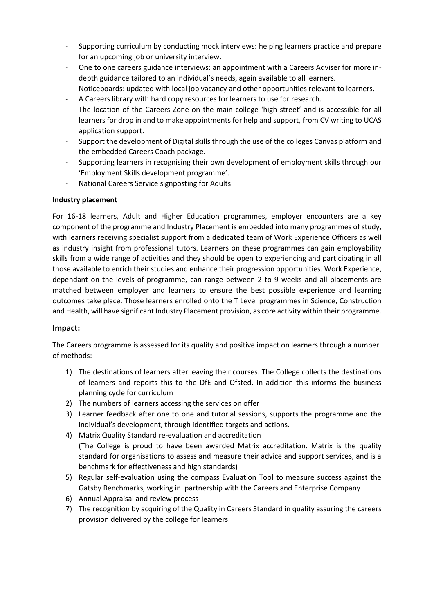- Supporting curriculum by conducting mock interviews: helping learners practice and prepare for an upcoming job or university interview.
- One to one careers guidance interviews: an appointment with a Careers Adviser for more indepth guidance tailored to an individual's needs, again available to all learners.
- Noticeboards: updated with local job vacancy and other opportunities relevant to learners.
- A Careers library with hard copy resources for learners to use for research.
- The location of the Careers Zone on the main college 'high street' and is accessible for all learners for drop in and to make appointments for help and support, from CV writing to UCAS application support.
- Support the development of Digital skills through the use of the colleges Canvas platform and the embedded Careers Coach package.
- Supporting learners in recognising their own development of employment skills through our 'Employment Skills development programme'.
- National Careers Service signposting for Adults

## **Industry placement**

For 16-18 learners, Adult and Higher Education programmes, employer encounters are a key component of the programme and Industry Placement is embedded into many programmes of study, with learners receiving specialist support from a dedicated team of Work Experience Officers as well as industry insight from professional tutors. Learners on these programmes can gain employability skills from a wide range of activities and they should be open to experiencing and participating in all those available to enrich their studies and enhance their progression opportunities. Work Experience, dependant on the levels of programme, can range between 2 to 9 weeks and all placements are matched between employer and learners to ensure the best possible experience and learning outcomes take place. Those learners enrolled onto the T Level programmes in Science, Construction and Health, will have significant Industry Placement provision, as core activity within their programme.

# **Impact:**

The Careers programme is assessed for its quality and positive impact on learners through a number of methods:

- 1) The destinations of learners after leaving their courses. The College collects the destinations of learners and reports this to the DfE and Ofsted. In addition this informs the business planning cycle for curriculum
- 2) The numbers of learners accessing the services on offer
- 3) Learner feedback after one to one and tutorial sessions, supports the programme and the individual's development, through identified targets and actions.
- 4) Matrix Quality Standard re-evaluation and accreditation (The College is proud to have been awarded Matrix accreditation. Matrix is the quality standard for organisations to assess and measure their advice and support services, and is a benchmark for effectiveness and high standards)
- 5) Regular self-evaluation using the compass Evaluation Tool to measure success against the Gatsby Benchmarks, working in partnership with the Careers and Enterprise Company
- 6) Annual Appraisal and review process
- 7) The recognition by acquiring of the Quality in Careers Standard in quality assuring the careers provision delivered by the college for learners.